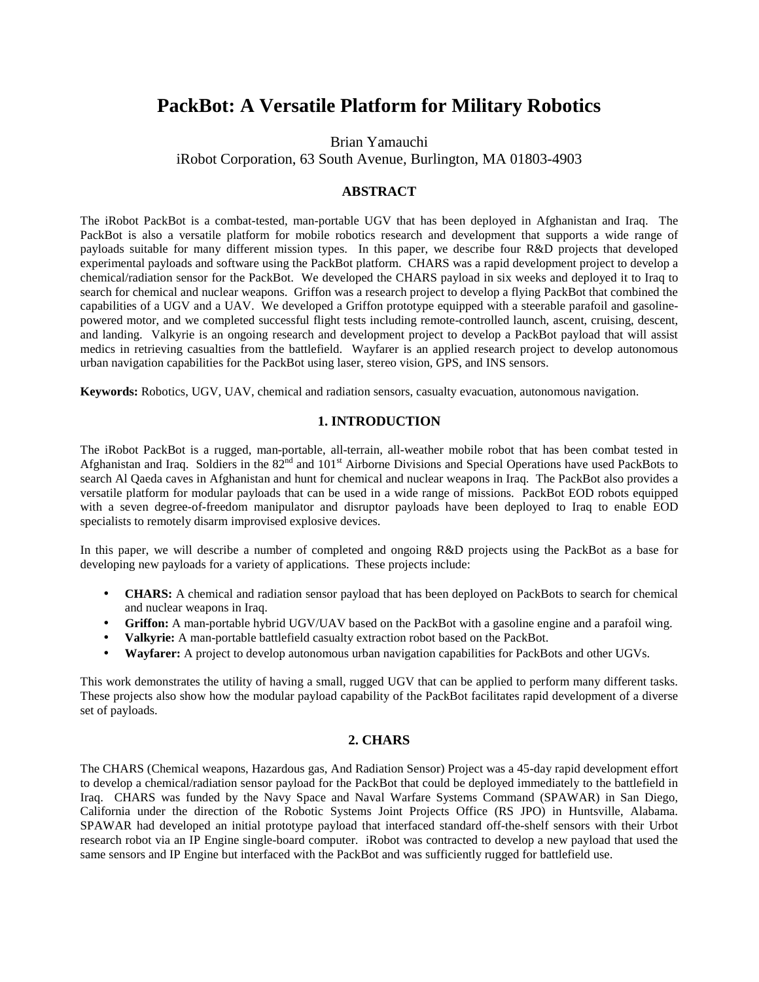# **PackBot: A Versatile Platform for Military Robotics**

Brian Yamauchi

iRobot Corporation, 63 South Avenue, Burlington, MA 01803-4903

# **ABSTRACT**

The iRobot PackBot is a combat-tested, man-portable UGV that has been deployed in Afghanistan and Iraq. The PackBot is also a versatile platform for mobile robotics research and development that supports a wide range of payloads suitable for many different mission types. In this paper, we describe four R&D projects that developed experimental payloads and software using the PackBot platform. CHARS was a rapid development project to develop a chemical/radiation sensor for the PackBot. We developed the CHARS payload in six weeks and deployed it to Iraq to search for chemical and nuclear weapons. Griffon was a research project to develop a flying PackBot that combined the capabilities of a UGV and a UAV. We developed a Griffon prototype equipped with a steerable parafoil and gasolinepowered motor, and we completed successful flight tests including remote-controlled launch, ascent, cruising, descent, and landing. Valkyrie is an ongoing research and development project to develop a PackBot payload that will assist medics in retrieving casualties from the battlefield. Wayfarer is an applied research project to develop autonomous urban navigation capabilities for the PackBot using laser, stereo vision, GPS, and INS sensors.

**Keywords:** Robotics, UGV, UAV, chemical and radiation sensors, casualty evacuation, autonomous navigation.

#### **1. INTRODUCTION**

The iRobot PackBot is a rugged, man-portable, all-terrain, all-weather mobile robot that has been combat tested in Afghanistan and Iraq. Soldiers in the 82<sup>nd</sup> and 101<sup>st</sup> Airborne Divisions and Special Operations have used PackBots to search Al Qaeda caves in Afghanistan and hunt for chemical and nuclear weapons in Iraq. The PackBot also provides a versatile platform for modular payloads that can be used in a wide range of missions. PackBot EOD robots equipped with a seven degree-of-freedom manipulator and disruptor payloads have been deployed to Iraq to enable EOD specialists to remotely disarm improvised explosive devices.

In this paper, we will describe a number of completed and ongoing R&D projects using the PackBot as a base for developing new payloads for a variety of applications. These projects include:

- **CHARS:** A chemical and radiation sensor payload that has been deployed on PackBots to search for chemical and nuclear weapons in Iraq.
- **Griffon:** A man-portable hybrid UGV/UAV based on the PackBot with a gasoline engine and a parafoil wing.
- **Valkyrie:** A man-portable battlefield casualty extraction robot based on the PackBot.
- **Wayfarer:** A project to develop autonomous urban navigation capabilities for PackBots and other UGVs.

This work demonstrates the utility of having a small, rugged UGV that can be applied to perform many different tasks. These projects also show how the modular payload capability of the PackBot facilitates rapid development of a diverse set of payloads.

## **2. CHARS**

The CHARS (Chemical weapons, Hazardous gas, And Radiation Sensor) Project was a 45-day rapid development effort to develop a chemical/radiation sensor payload for the PackBot that could be deployed immediately to the battlefield in Iraq. CHARS was funded by the Navy Space and Naval Warfare Systems Command (SPAWAR) in San Diego, California under the direction of the Robotic Systems Joint Projects Office (RS JPO) in Huntsville, Alabama. SPAWAR had developed an initial prototype payload that interfaced standard off-the-shelf sensors with their Urbot research robot via an IP Engine single-board computer. iRobot was contracted to develop a new payload that used the same sensors and IP Engine but interfaced with the PackBot and was sufficiently rugged for battlefield use.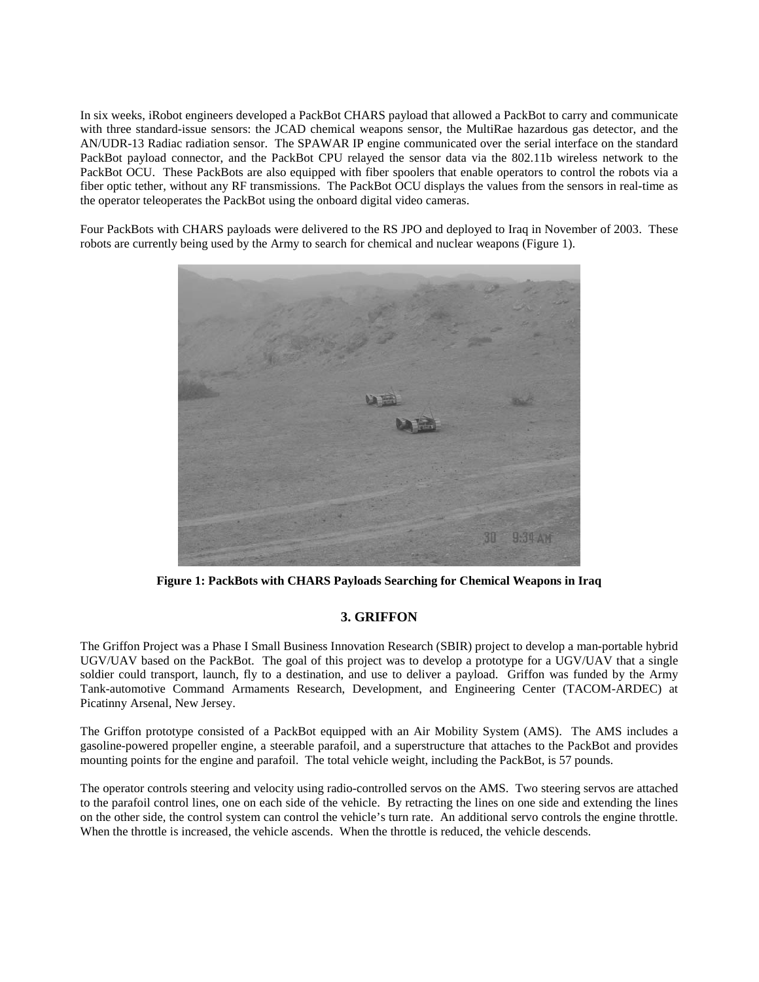In six weeks, iRobot engineers developed a PackBot CHARS payload that allowed a PackBot to carry and communicate with three standard-issue sensors: the JCAD chemical weapons sensor, the MultiRae hazardous gas detector, and the AN/UDR-13 Radiac radiation sensor. The SPAWAR IP engine communicated over the serial interface on the standard PackBot payload connector, and the PackBot CPU relayed the sensor data via the 802.11b wireless network to the PackBot OCU. These PackBots are also equipped with fiber spoolers that enable operators to control the robots via a fiber optic tether, without any RF transmissions. The PackBot OCU displays the values from the sensors in real-time as the operator teleoperates the PackBot using the onboard digital video cameras.

Four PackBots with CHARS payloads were delivered to the RS JPO and deployed to Iraq in November of 2003. These robots are currently being used by the Army to search for chemical and nuclear weapons (Figure 1).



**Figure 1: PackBots with CHARS Payloads Searching for Chemical Weapons in Iraq** 

# **3. GRIFFON**

The Griffon Project was a Phase I Small Business Innovation Research (SBIR) project to develop a man-portable hybrid UGV/UAV based on the PackBot. The goal of this project was to develop a prototype for a UGV/UAV that a single soldier could transport, launch, fly to a destination, and use to deliver a payload. Griffon was funded by the Army Tank-automotive Command Armaments Research, Development, and Engineering Center (TACOM-ARDEC) at Picatinny Arsenal, New Jersey.

The Griffon prototype consisted of a PackBot equipped with an Air Mobility System (AMS). The AMS includes a gasoline-powered propeller engine, a steerable parafoil, and a superstructure that attaches to the PackBot and provides mounting points for the engine and parafoil. The total vehicle weight, including the PackBot, is 57 pounds.

The operator controls steering and velocity using radio-controlled servos on the AMS. Two steering servos are attached to the parafoil control lines, one on each side of the vehicle. By retracting the lines on one side and extending the lines on the other side, the control system can control the vehicle's turn rate. An additional servo controls the engine throttle. When the throttle is increased, the vehicle ascends. When the throttle is reduced, the vehicle descends.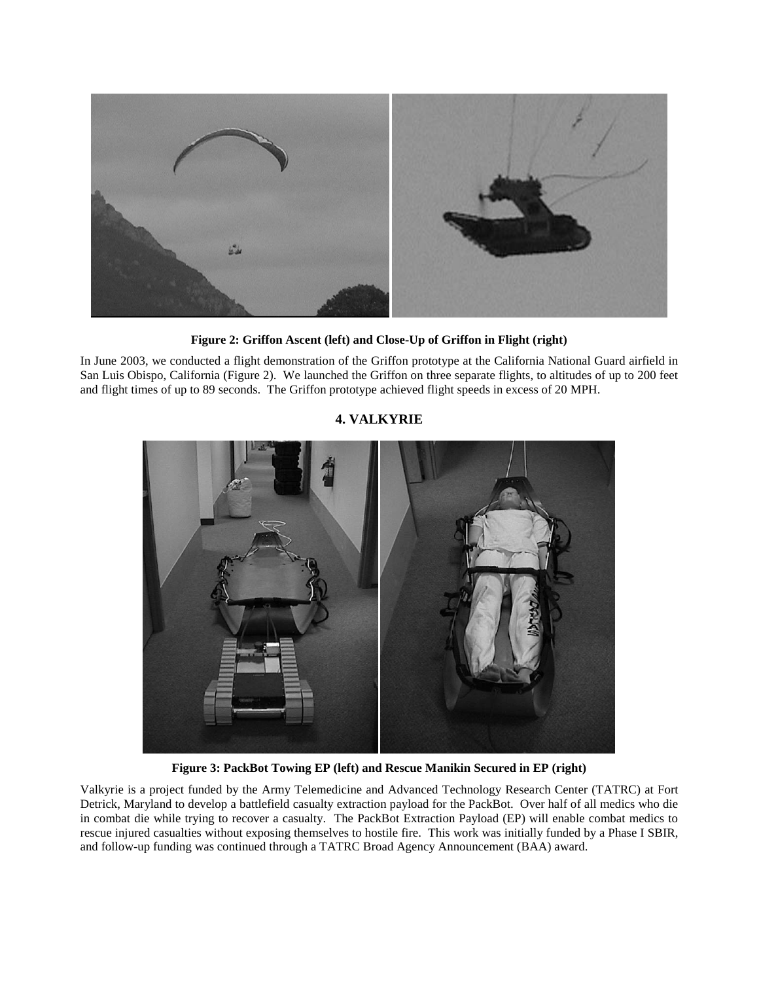

**Figure 2: Griffon Ascent (left) and Close-Up of Griffon in Flight (right)** 

In June 2003, we conducted a flight demonstration of the Griffon prototype at the California National Guard airfield in San Luis Obispo, California (Figure 2). We launched the Griffon on three separate flights, to altitudes of up to 200 feet and flight times of up to 89 seconds. The Griffon prototype achieved flight speeds in excess of 20 MPH.

# **4. VALKYRIE**



**Figure 3: PackBot Towing EP (left) and Rescue Manikin Secured in EP (right)** 

Valkyrie is a project funded by the Army Telemedicine and Advanced Technology Research Center (TATRC) at Fort Detrick, Maryland to develop a battlefield casualty extraction payload for the PackBot. Over half of all medics who die in combat die while trying to recover a casualty. The PackBot Extraction Payload (EP) will enable combat medics to rescue injured casualties without exposing themselves to hostile fire. This work was initially funded by a Phase I SBIR, and follow-up funding was continued through a TATRC Broad Agency Announcement (BAA) award.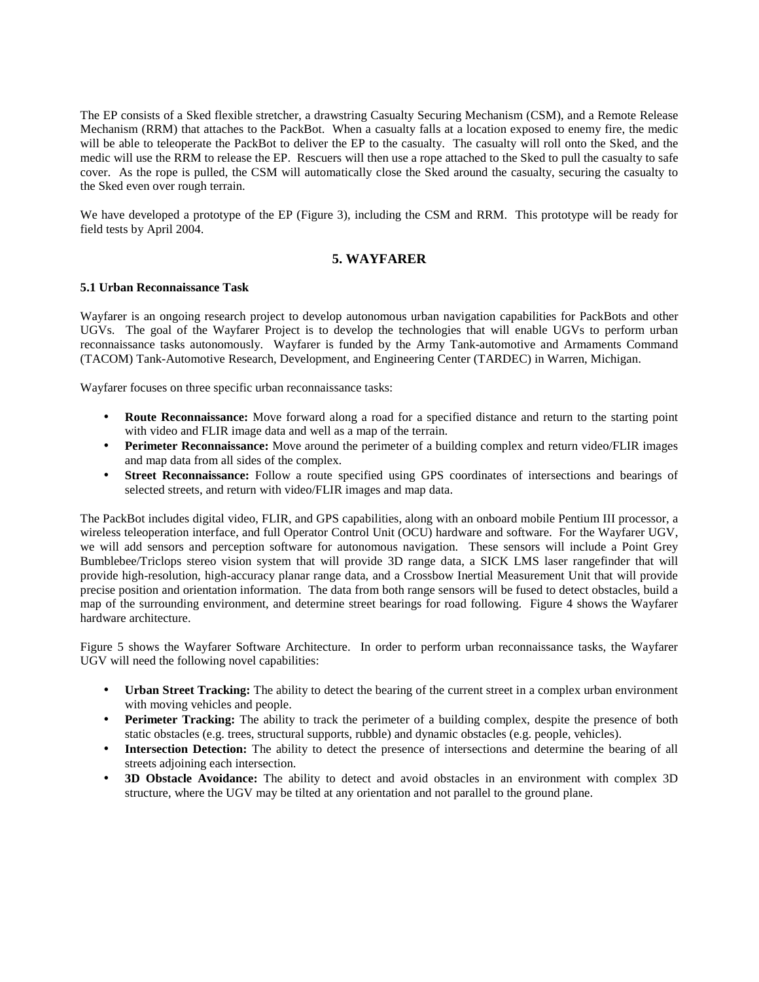The EP consists of a Sked flexible stretcher, a drawstring Casualty Securing Mechanism (CSM), and a Remote Release Mechanism (RRM) that attaches to the PackBot. When a casualty falls at a location exposed to enemy fire, the medic will be able to teleoperate the PackBot to deliver the EP to the casualty. The casualty will roll onto the Sked, and the medic will use the RRM to release the EP. Rescuers will then use a rope attached to the Sked to pull the casualty to safe cover. As the rope is pulled, the CSM will automatically close the Sked around the casualty, securing the casualty to the Sked even over rough terrain.

We have developed a prototype of the EP (Figure 3), including the CSM and RRM. This prototype will be ready for field tests by April 2004.

# **5. WAYFARER**

#### **5.1 Urban Reconnaissance Task**

Wayfarer is an ongoing research project to develop autonomous urban navigation capabilities for PackBots and other UGVs. The goal of the Wayfarer Project is to develop the technologies that will enable UGVs to perform urban reconnaissance tasks autonomously. Wayfarer is funded by the Army Tank-automotive and Armaments Command (TACOM) Tank-Automotive Research, Development, and Engineering Center (TARDEC) in Warren, Michigan.

Wayfarer focuses on three specific urban reconnaissance tasks:

- **Route Reconnaissance:** Move forward along a road for a specified distance and return to the starting point with video and FLIR image data and well as a map of the terrain.
- **Perimeter Reconnaissance:** Move around the perimeter of a building complex and return video/FLIR images and map data from all sides of the complex.
- **Street Reconnaissance:** Follow a route specified using GPS coordinates of intersections and bearings of selected streets, and return with video/FLIR images and map data.

The PackBot includes digital video, FLIR, and GPS capabilities, along with an onboard mobile Pentium III processor, a wireless teleoperation interface, and full Operator Control Unit (OCU) hardware and software. For the Wayfarer UGV, we will add sensors and perception software for autonomous navigation. These sensors will include a Point Grey Bumblebee/Triclops stereo vision system that will provide 3D range data, a SICK LMS laser rangefinder that will provide high-resolution, high-accuracy planar range data, and a Crossbow Inertial Measurement Unit that will provide precise position and orientation information. The data from both range sensors will be fused to detect obstacles, build a map of the surrounding environment, and determine street bearings for road following. Figure 4 shows the Wayfarer hardware architecture.

Figure 5 shows the Wayfarer Software Architecture. In order to perform urban reconnaissance tasks, the Wayfarer UGV will need the following novel capabilities:

- **Urban Street Tracking:** The ability to detect the bearing of the current street in a complex urban environment with moving vehicles and people.
- **Perimeter Tracking:** The ability to track the perimeter of a building complex, despite the presence of both static obstacles (e.g. trees, structural supports, rubble) and dynamic obstacles (e.g. people, vehicles).
- **Intersection Detection:** The ability to detect the presence of intersections and determine the bearing of all streets adjoining each intersection.
- **3D Obstacle Avoidance:** The ability to detect and avoid obstacles in an environment with complex 3D structure, where the UGV may be tilted at any orientation and not parallel to the ground plane.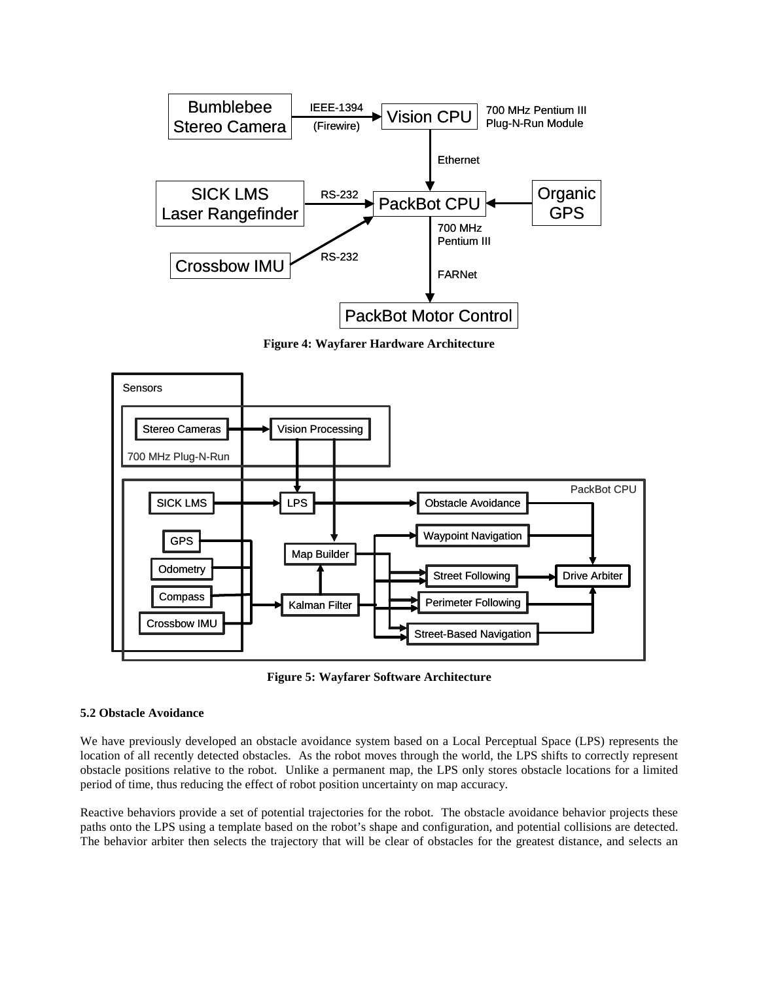

**Figure 4: Wayfarer Hardware Architecture** 



**Figure 5: Wayfarer Software Architecture** 

## **5.2 Obstacle Avoidance**

We have previously developed an obstacle avoidance system based on a Local Perceptual Space (LPS) represents the location of all recently detected obstacles. As the robot moves through the world, the LPS shifts to correctly represent obstacle positions relative to the robot. Unlike a permanent map, the LPS only stores obstacle locations for a limited period of time, thus reducing the effect of robot position uncertainty on map accuracy.

Reactive behaviors provide a set of potential trajectories for the robot. The obstacle avoidance behavior projects these paths onto the LPS using a template based on the robot's shape and configuration, and potential collisions are detected. The behavior arbiter then selects the trajectory that will be clear of obstacles for the greatest distance, and selects an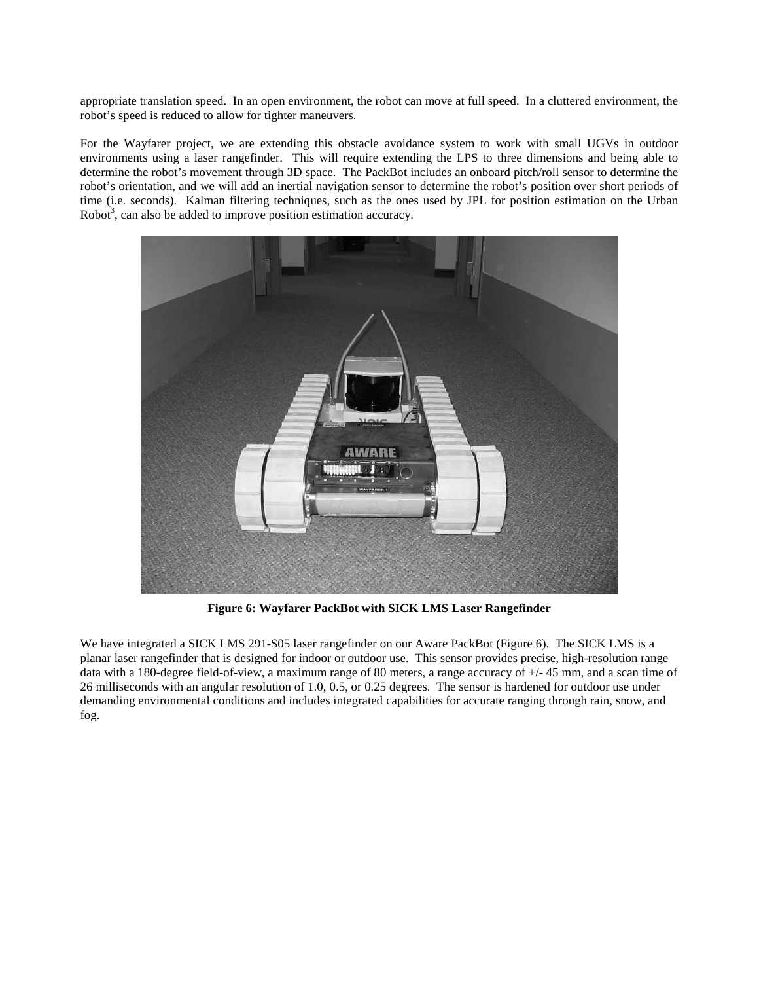appropriate translation speed. In an open environment, the robot can move at full speed. In a cluttered environment, the robot's speed is reduced to allow for tighter maneuvers.

For the Wayfarer project, we are extending this obstacle avoidance system to work with small UGVs in outdoor environments using a laser rangefinder. This will require extending the LPS to three dimensions and being able to determine the robot's movement through 3D space. The PackBot includes an onboard pitch/roll sensor to determine the robot's orientation, and we will add an inertial navigation sensor to determine the robot's position over short periods of time (i.e. seconds). Kalman filtering techniques, such as the ones used by JPL for position estimation on the Urban Robot<sup>3</sup>, can also be added to improve position estimation accuracy.



**Figure 6: Wayfarer PackBot with SICK LMS Laser Rangefinder** 

We have integrated a SICK LMS 291-S05 laser rangefinder on our Aware PackBot (Figure 6). The SICK LMS is a planar laser rangefinder that is designed for indoor or outdoor use. This sensor provides precise, high-resolution range data with a 180-degree field-of-view, a maximum range of 80 meters, a range accuracy of +/- 45 mm, and a scan time of 26 milliseconds with an angular resolution of 1.0, 0.5, or 0.25 degrees. The sensor is hardened for outdoor use under demanding environmental conditions and includes integrated capabilities for accurate ranging through rain, snow, and fog.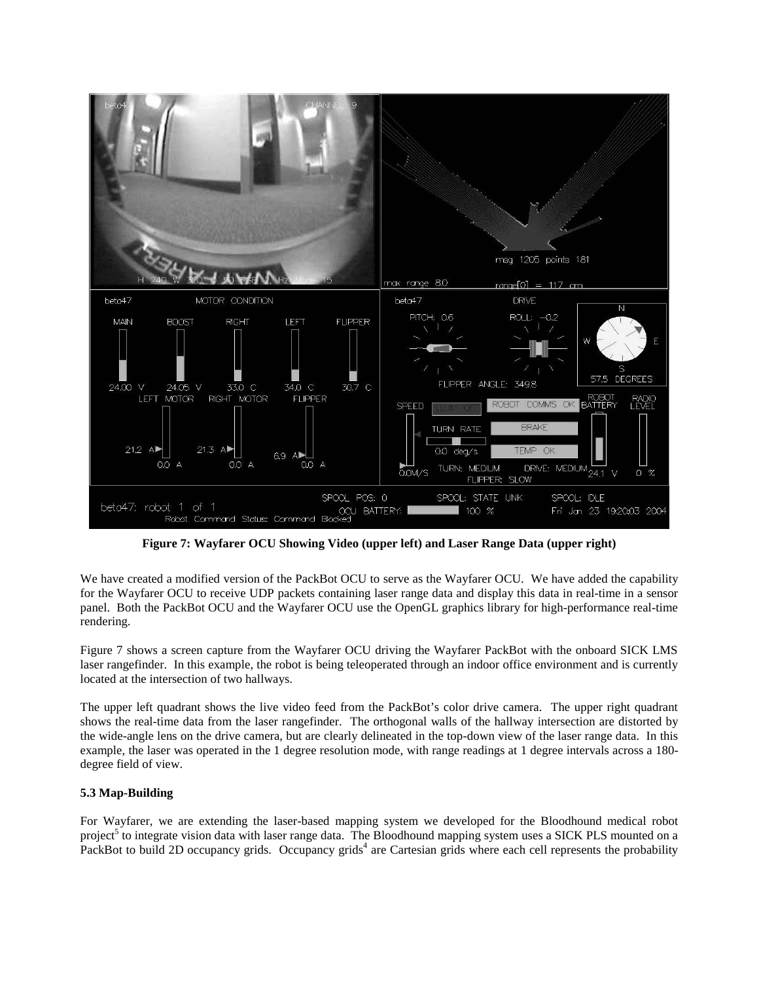

**Figure 7: Wayfarer OCU Showing Video (upper left) and Laser Range Data (upper right)** 

We have created a modified version of the PackBot OCU to serve as the Wayfarer OCU. We have added the capability for the Wayfarer OCU to receive UDP packets containing laser range data and display this data in real-time in a sensor panel. Both the PackBot OCU and the Wayfarer OCU use the OpenGL graphics library for high-performance real-time rendering.

Figure 7 shows a screen capture from the Wayfarer OCU driving the Wayfarer PackBot with the onboard SICK LMS laser rangefinder. In this example, the robot is being teleoperated through an indoor office environment and is currently located at the intersection of two hallways.

The upper left quadrant shows the live video feed from the PackBot's color drive camera. The upper right quadrant shows the real-time data from the laser rangefinder. The orthogonal walls of the hallway intersection are distorted by the wide-angle lens on the drive camera, but are clearly delineated in the top-down view of the laser range data. In this example, the laser was operated in the 1 degree resolution mode, with range readings at 1 degree intervals across a 180 degree field of view.

## **5.3 Map-Building**

For Wayfarer, we are extending the laser-based mapping system we developed for the Bloodhound medical robot project<sup>5</sup> to integrate vision data with laser range data. The Bloodhound mapping system uses a SICK PLS mounted on a PackBot to build 2D occupancy grids. Occupancy grids<sup>4</sup> are Cartesian grids where each cell represents the probability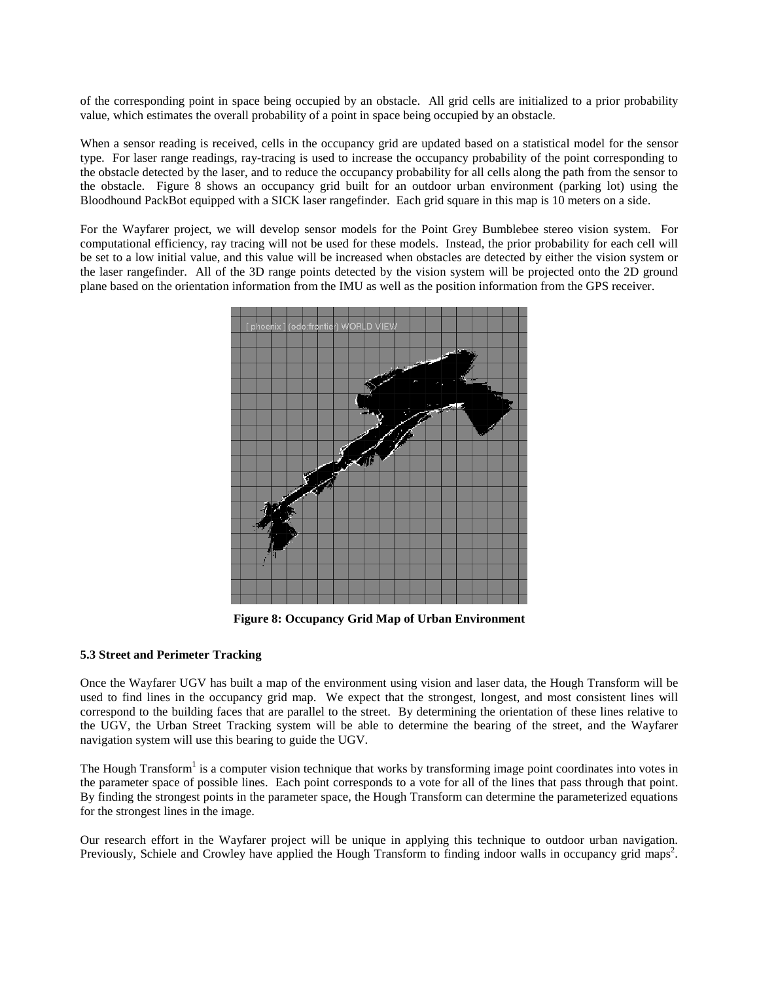of the corresponding point in space being occupied by an obstacle. All grid cells are initialized to a prior probability value, which estimates the overall probability of a point in space being occupied by an obstacle.

When a sensor reading is received, cells in the occupancy grid are updated based on a statistical model for the sensor type. For laser range readings, ray-tracing is used to increase the occupancy probability of the point corresponding to the obstacle detected by the laser, and to reduce the occupancy probability for all cells along the path from the sensor to the obstacle. Figure 8 shows an occupancy grid built for an outdoor urban environment (parking lot) using the Bloodhound PackBot equipped with a SICK laser rangefinder. Each grid square in this map is 10 meters on a side.

For the Wayfarer project, we will develop sensor models for the Point Grey Bumblebee stereo vision system. For computational efficiency, ray tracing will not be used for these models. Instead, the prior probability for each cell will be set to a low initial value, and this value will be increased when obstacles are detected by either the vision system or the laser rangefinder. All of the 3D range points detected by the vision system will be projected onto the 2D ground plane based on the orientation information from the IMU as well as the position information from the GPS receiver.



**Figure 8: Occupancy Grid Map of Urban Environment** 

#### **5.3 Street and Perimeter Tracking**

Once the Wayfarer UGV has built a map of the environment using vision and laser data, the Hough Transform will be used to find lines in the occupancy grid map. We expect that the strongest, longest, and most consistent lines will correspond to the building faces that are parallel to the street. By determining the orientation of these lines relative to the UGV, the Urban Street Tracking system will be able to determine the bearing of the street, and the Wayfarer navigation system will use this bearing to guide the UGV.

The Hough Transform<sup>1</sup> is a computer vision technique that works by transforming image point coordinates into votes in the parameter space of possible lines. Each point corresponds to a vote for all of the lines that pass through that point. By finding the strongest points in the parameter space, the Hough Transform can determine the parameterized equations for the strongest lines in the image.

Our research effort in the Wayfarer project will be unique in applying this technique to outdoor urban navigation. Previously, Schiele and Crowley have applied the Hough Transform to finding indoor walls in occupancy grid maps<sup>2</sup>.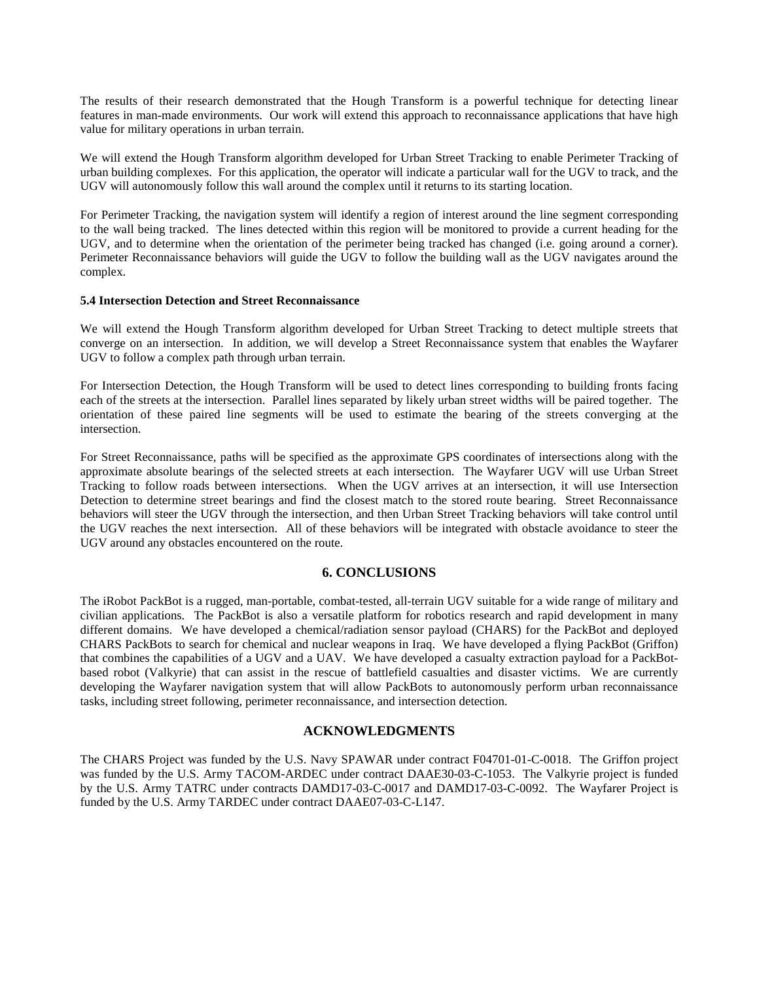The results of their research demonstrated that the Hough Transform is a powerful technique for detecting linear features in man-made environments. Our work will extend this approach to reconnaissance applications that have high value for military operations in urban terrain.

We will extend the Hough Transform algorithm developed for Urban Street Tracking to enable Perimeter Tracking of urban building complexes. For this application, the operator will indicate a particular wall for the UGV to track, and the UGV will autonomously follow this wall around the complex until it returns to its starting location.

For Perimeter Tracking, the navigation system will identify a region of interest around the line segment corresponding to the wall being tracked. The lines detected within this region will be monitored to provide a current heading for the UGV, and to determine when the orientation of the perimeter being tracked has changed (i.e. going around a corner). Perimeter Reconnaissance behaviors will guide the UGV to follow the building wall as the UGV navigates around the complex.

#### **5.4 Intersection Detection and Street Reconnaissance**

We will extend the Hough Transform algorithm developed for Urban Street Tracking to detect multiple streets that converge on an intersection. In addition, we will develop a Street Reconnaissance system that enables the Wayfarer UGV to follow a complex path through urban terrain.

For Intersection Detection, the Hough Transform will be used to detect lines corresponding to building fronts facing each of the streets at the intersection. Parallel lines separated by likely urban street widths will be paired together. The orientation of these paired line segments will be used to estimate the bearing of the streets converging at the intersection.

For Street Reconnaissance, paths will be specified as the approximate GPS coordinates of intersections along with the approximate absolute bearings of the selected streets at each intersection. The Wayfarer UGV will use Urban Street Tracking to follow roads between intersections. When the UGV arrives at an intersection, it will use Intersection Detection to determine street bearings and find the closest match to the stored route bearing. Street Reconnaissance behaviors will steer the UGV through the intersection, and then Urban Street Tracking behaviors will take control until the UGV reaches the next intersection. All of these behaviors will be integrated with obstacle avoidance to steer the UGV around any obstacles encountered on the route.

## **6. CONCLUSIONS**

The iRobot PackBot is a rugged, man-portable, combat-tested, all-terrain UGV suitable for a wide range of military and civilian applications. The PackBot is also a versatile platform for robotics research and rapid development in many different domains. We have developed a chemical/radiation sensor payload (CHARS) for the PackBot and deployed CHARS PackBots to search for chemical and nuclear weapons in Iraq. We have developed a flying PackBot (Griffon) that combines the capabilities of a UGV and a UAV. We have developed a casualty extraction payload for a PackBotbased robot (Valkyrie) that can assist in the rescue of battlefield casualties and disaster victims. We are currently developing the Wayfarer navigation system that will allow PackBots to autonomously perform urban reconnaissance tasks, including street following, perimeter reconnaissance, and intersection detection.

#### **ACKNOWLEDGMENTS**

The CHARS Project was funded by the U.S. Navy SPAWAR under contract F04701-01-C-0018. The Griffon project was funded by the U.S. Army TACOM-ARDEC under contract DAAE30-03-C-1053. The Valkyrie project is funded by the U.S. Army TATRC under contracts DAMD17-03-C-0017 and DAMD17-03-C-0092. The Wayfarer Project is funded by the U.S. Army TARDEC under contract DAAE07-03-C-L147.